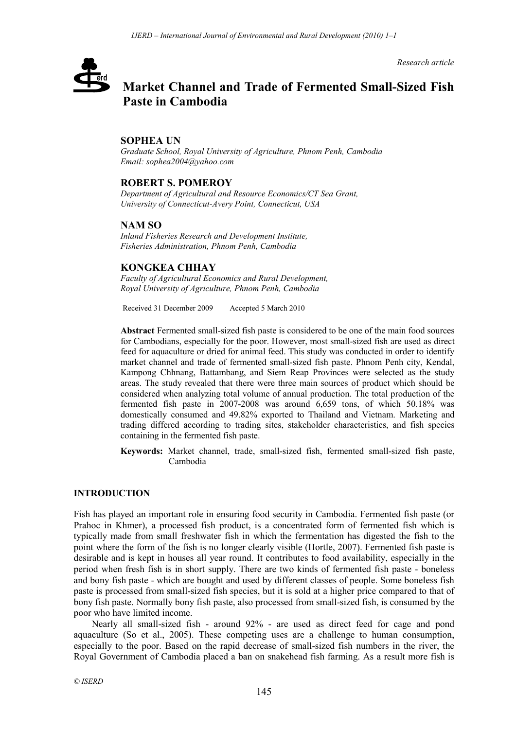*Research article*

# erd

# **Market Channel and Trade of Fermented Small-Sized Fish Paste in Cambodia**

### **SOPHEA UN**

*Graduate School, Royal University of Agriculture, Phnom Penh, Cambodia Email: sophea2004@yahoo.com*

# **ROBERT S. POMEROY**

*Department of Agricultural and Resource Economics/CT Sea Grant, University of Connecticut-Avery Point, Connecticut, USA* 

# **NAM SO**

*Inland Fisheries Research and Development Institute, Fisheries Administration, Phnom Penh, Cambodia* 

#### **KONGKEA CHHAY**

*Faculty of Agricultural Economics and Rural Development, Royal University of Agriculture, Phnom Penh, Cambodia* 

Received 31 December 2009 Accepted 5 March 2010

**Abstract** Fermented small-sized fish paste is considered to be one of the main food sources for Cambodians, especially for the poor. However, most small-sized fish are used as direct feed for aquaculture or dried for animal feed. This study was conducted in order to identify market channel and trade of fermented small-sized fish paste. Phnom Penh city, Kendal, Kampong Chhnang, Battambang, and Siem Reap Provinces were selected as the study areas. The study revealed that there were three main sources of product which should be considered when analyzing total volume of annual production. The total production of the fermented fish paste in 2007-2008 was around 6,659 tons, of which 50.18% was domestically consumed and 49.82% exported to Thailand and Vietnam. Marketing and trading differed according to trading sites, stakeholder characteristics, and fish species containing in the fermented fish paste.

**Keywords:** Market channel, trade, small-sized fish, fermented small-sized fish paste, Cambodia

#### **INTRODUCTION**

Fish has played an important role in ensuring food security in Cambodia. Fermented fish paste (or Prahoc in Khmer), a processed fish product, is a concentrated form of fermented fish which is typically made from small freshwater fish in which the fermentation has digested the fish to the point where the form of the fish is no longer clearly visible (Hortle, 2007). Fermented fish paste is desirable and is kept in houses all year round. It contributes to food availability, especially in the period when fresh fish is in short supply. There are two kinds of fermented fish paste - boneless and bony fish paste - which are bought and used by different classes of people. Some boneless fish paste is processed from small-sized fish species, but it is sold at a higher price compared to that of bony fish paste. Normally bony fish paste, also processed from small-sized fish, is consumed by the poor who have limited income.

Nearly all small-sized fish - around 92% - are used as direct feed for cage and pond aquaculture (So et al., 2005). These competing uses are a challenge to human consumption, especially to the poor. Based on the rapid decrease of small-sized fish numbers in the river, the Royal Government of Cambodia placed a ban on snakehead fish farming. As a result more fish is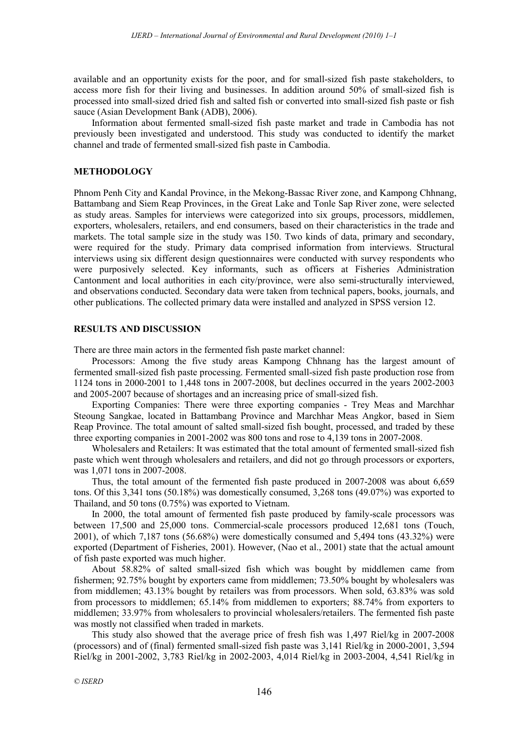available and an opportunity exists for the poor, and for small-sized fish paste stakeholders, to access more fish for their living and businesses. In addition around 50% of small-sized fish is processed into small-sized dried fish and salted fish or converted into small-sized fish paste or fish sauce (Asian Development Bank (ADB), 2006).

Information about fermented small-sized fish paste market and trade in Cambodia has not previously been investigated and understood. This study was conducted to identify the market channel and trade of fermented small-sized fish paste in Cambodia.

#### **METHODOLOGY**

Phnom Penh City and Kandal Province, in the Mekong-Bassac River zone, and Kampong Chhnang, Battambang and Siem Reap Provinces, in the Great Lake and Tonle Sap River zone, were selected as study areas. Samples for interviews were categorized into six groups, processors, middlemen, exporters, wholesalers, retailers, and end consumers, based on their characteristics in the trade and markets. The total sample size in the study was 150. Two kinds of data, primary and secondary, were required for the study. Primary data comprised information from interviews. Structural interviews using six different design questionnaires were conducted with survey respondents who were purposively selected. Key informants, such as officers at Fisheries Administration Cantonment and local authorities in each city/province, were also semi-structurally interviewed, and observations conducted. Secondary data were taken from technical papers, books, journals, and other publications. The collected primary data were installed and analyzed in SPSS version 12.

#### **RESULTS AND DISCUSSION**

There are three main actors in the fermented fish paste market channel:

Processors: Among the five study areas Kampong Chhnang has the largest amount of fermented small-sized fish paste processing. Fermented small-sized fish paste production rose from 1124 tons in 2000-2001 to 1,448 tons in 2007-2008, but declines occurred in the years 2002-2003 and 2005-2007 because of shortages and an increasing price of small-sized fish.

Exporting Companies: There were three exporting companies - Trey Meas and Marchhar Steoung Sangkae, located in Battambang Province and Marchhar Meas Angkor, based in Siem Reap Province. The total amount of salted small-sized fish bought, processed, and traded by these three exporting companies in 2001-2002 was 800 tons and rose to 4,139 tons in 2007-2008.

Wholesalers and Retailers: It was estimated that the total amount of fermented small-sized fish paste which went through wholesalers and retailers, and did not go through processors or exporters, was 1,071 tons in 2007-2008.

Thus, the total amount of the fermented fish paste produced in 2007-2008 was about 6,659 tons. Of this 3,341 tons (50.18%) was domestically consumed, 3,268 tons (49.07%) was exported to Thailand, and 50 tons (0.75%) was exported to Vietnam.

In 2000, the total amount of fermented fish paste produced by family-scale processors was between 17,500 and 25,000 tons. Commercial-scale processors produced 12,681 tons (Touch, 2001), of which 7,187 tons (56.68%) were domestically consumed and 5,494 tons (43.32%) were exported (Department of Fisheries, 2001). However, (Nao et al., 2001) state that the actual amount of fish paste exported was much higher.

About 58.82% of salted small-sized fish which was bought by middlemen came from fishermen; 92.75% bought by exporters came from middlemen; 73.50% bought by wholesalers was from middlemen; 43.13% bought by retailers was from processors. When sold, 63.83% was sold from processors to middlemen; 65.14% from middlemen to exporters; 88.74% from exporters to middlemen; 33.97% from wholesalers to provincial wholesalers/retailers. The fermented fish paste was mostly not classified when traded in markets.

This study also showed that the average price of fresh fish was 1,497 Riel/kg in 2007-2008 (processors) and of (final) fermented small-sized fish paste was 3,141 Riel/kg in 2000-2001, 3,594 Riel/kg in 2001-2002, 3,783 Riel/kg in 2002-2003, 4,014 Riel/kg in 2003-2004, 4,541 Riel/kg in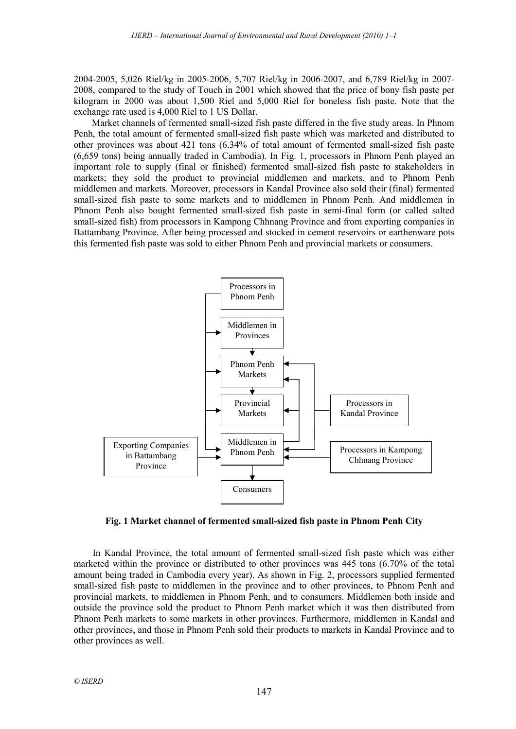2004-2005, 5,026 Riel/kg in 2005-2006, 5,707 Riel/kg in 2006-2007, and 6,789 Riel/kg in 2007- 2008, compared to the study of Touch in 2001 which showed that the price of bony fish paste per kilogram in 2000 was about 1,500 Riel and 5,000 Riel for boneless fish paste. Note that the exchange rate used is 4,000 Riel to 1 US Dollar.

Market channels of fermented small-sized fish paste differed in the five study areas. In Phnom Penh, the total amount of fermented small-sized fish paste which was marketed and distributed to other provinces was about 421 tons (6.34% of total amount of fermented small-sized fish paste (6,659 tons) being annually traded in Cambodia). In Fig. 1, processors in Phnom Penh played an important role to supply (final or finished) fermented small-sized fish paste to stakeholders in markets; they sold the product to provincial middlemen and markets, and to Phnom Penh middlemen and markets. Moreover, processors in Kandal Province also sold their (final) fermented small-sized fish paste to some markets and to middlemen in Phnom Penh. And middlemen in Phnom Penh also bought fermented small-sized fish paste in semi-final form (or called salted small-sized fish) from processors in Kampong Chhnang Province and from exporting companies in Battambang Province. After being processed and stocked in cement reservoirs or earthenware pots this fermented fish paste was sold to either Phnom Penh and provincial markets or consumers.



**Fig. 1 Market channel of fermented small-sized fish paste in Phnom Penh City** 

In Kandal Province, the total amount of fermented small-sized fish paste which was either marketed within the province or distributed to other provinces was 445 tons (6.70% of the total amount being traded in Cambodia every year). As shown in Fig. 2, processors supplied fermented small-sized fish paste to middlemen in the province and to other provinces, to Phnom Penh and provincial markets, to middlemen in Phnom Penh, and to consumers. Middlemen both inside and outside the province sold the product to Phnom Penh market which it was then distributed from Phnom Penh markets to some markets in other provinces. Furthermore, middlemen in Kandal and other provinces, and those in Phnom Penh sold their products to markets in Kandal Province and to other provinces as well.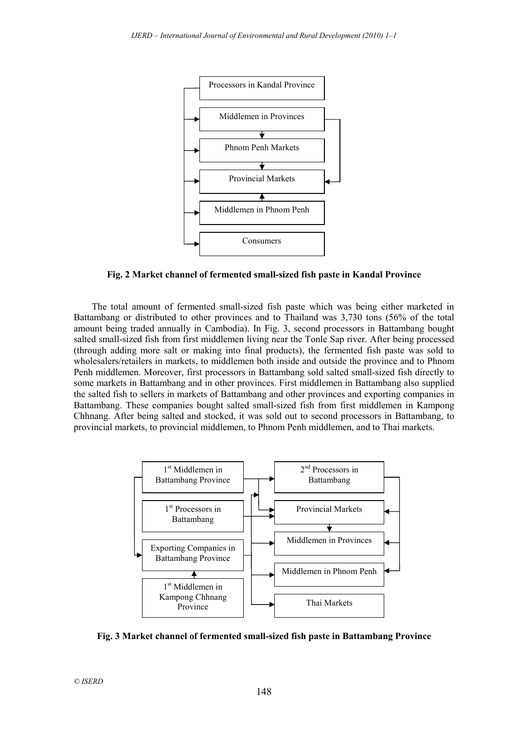

**Fig. 2 Market channel of fermented small-sized fish paste in Kandal Province** 

The total amount of fermented small-sized fish paste which was being either marketed in Battambang or distributed to other provinces and to Thailand was 3,730 tons (56% of the total amount being traded annually in Cambodia). In Fig. 3, second processors in Battambang bought salted small-sized fish from first middlemen living near the Tonle Sap river. After being processed (through adding more salt or making into final products), the fermented fish paste was sold to wholesalers/retailers in markets, to middlemen both inside and outside the province and to Phnom Penh middlemen. Moreover, first processors in Battambang sold salted small-sized fish directly to some markets in Battambang and in other provinces. First middlemen in Battambang also supplied the salted fish to sellers in markets of Battambang and other provinces and exporting companies in Battambang. These companies bought salted small-sized fish from first middlemen in Kampong Chhnang. After being salted and stocked, it was sold out to second processors in Battambang, to provincial markets, to provincial middlemen, to Phnom Penh middlemen, and to Thai markets.



**Fig. 3 Market channel of fermented small-sized fish paste in Battambang Province**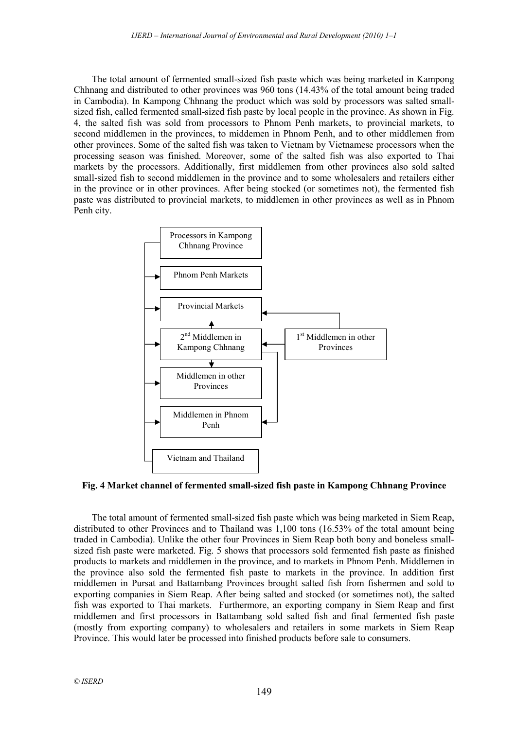The total amount of fermented small-sized fish paste which was being marketed in Kampong Chhnang and distributed to other provinces was 960 tons (14.43% of the total amount being traded in Cambodia). In Kampong Chhnang the product which was sold by processors was salted smallsized fish, called fermented small-sized fish paste by local people in the province. As shown in Fig. 4, the salted fish was sold from processors to Phnom Penh markets, to provincial markets, to second middlemen in the provinces, to middemen in Phnom Penh, and to other middlemen from other provinces. Some of the salted fish was taken to Vietnam by Vietnamese processors when the processing season was finished. Moreover, some of the salted fish was also exported to Thai markets by the processors. Additionally, first middlemen from other provinces also sold salted small-sized fish to second middlemen in the province and to some wholesalers and retailers either in the province or in other provinces. After being stocked (or sometimes not), the fermented fish paste was distributed to provincial markets, to middlemen in other provinces as well as in Phnom Penh city.



#### **Fig. 4 Market channel of fermented small-sized fish paste in Kampong Chhnang Province**

The total amount of fermented small-sized fish paste which was being marketed in Siem Reap, distributed to other Provinces and to Thailand was 1,100 tons (16.53% of the total amount being traded in Cambodia). Unlike the other four Provinces in Siem Reap both bony and boneless smallsized fish paste were marketed. Fig. 5 shows that processors sold fermented fish paste as finished products to markets and middlemen in the province, and to markets in Phnom Penh. Middlemen in the province also sold the fermented fish paste to markets in the province. In addition first middlemen in Pursat and Battambang Provinces brought salted fish from fishermen and sold to exporting companies in Siem Reap. After being salted and stocked (or sometimes not), the salted fish was exported to Thai markets. Furthermore, an exporting company in Siem Reap and first middlemen and first processors in Battambang sold salted fish and final fermented fish paste (mostly from exporting company) to wholesalers and retailers in some markets in Siem Reap Province. This would later be processed into finished products before sale to consumers.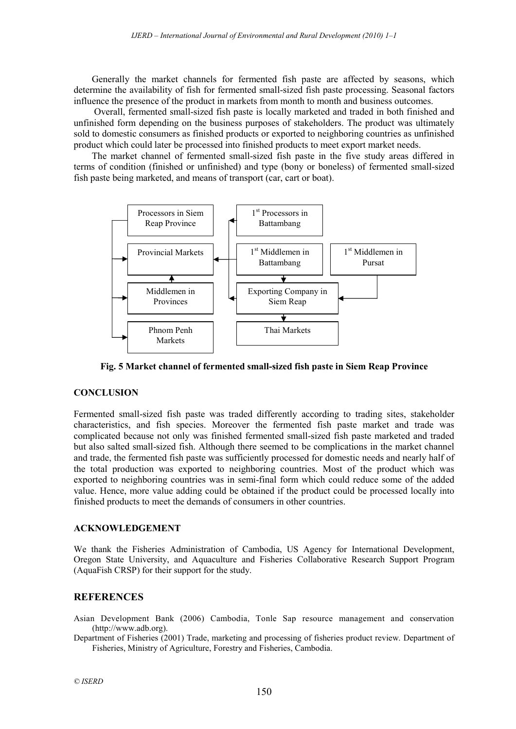Generally the market channels for fermented fish paste are affected by seasons, which determine the availability of fish for fermented small-sized fish paste processing. Seasonal factors influence the presence of the product in markets from month to month and business outcomes.

 Overall, fermented small-sized fish paste is locally marketed and traded in both finished and unfinished form depending on the business purposes of stakeholders. The product was ultimately sold to domestic consumers as finished products or exported to neighboring countries as unfinished product which could later be processed into finished products to meet export market needs.

The market channel of fermented small-sized fish paste in the five study areas differed in terms of condition (finished or unfinished) and type (bony or boneless) of fermented small-sized fish paste being marketed, and means of transport (car, cart or boat).



**Fig. 5 Market channel of fermented small-sized fish paste in Siem Reap Province** 

#### **CONCLUSION**

Fermented small-sized fish paste was traded differently according to trading sites, stakeholder characteristics, and fish species. Moreover the fermented fish paste market and trade was complicated because not only was finished fermented small-sized fish paste marketed and traded but also salted small-sized fish. Although there seemed to be complications in the market channel and trade, the fermented fish paste was sufficiently processed for domestic needs and nearly half of the total production was exported to neighboring countries. Most of the product which was exported to neighboring countries was in semi-final form which could reduce some of the added value. Hence, more value adding could be obtained if the product could be processed locally into finished products to meet the demands of consumers in other countries.

#### **ACKNOWLEDGEMENT**

We thank the Fisheries Administration of Cambodia, US Agency for International Development, Oregon State University, and Aquaculture and Fisheries Collaborative Research Support Program (AquaFish CRSP) for their support for the study.

# **REFERENCES**

Asian Development Bank (2006) Cambodia, Tonle Sap resource management and conservation (http://www.adb.org).

Department of Fisheries (2001) Trade, marketing and processing of fisheries product review. Department of Fisheries, Ministry of Agriculture, Forestry and Fisheries, Cambodia.